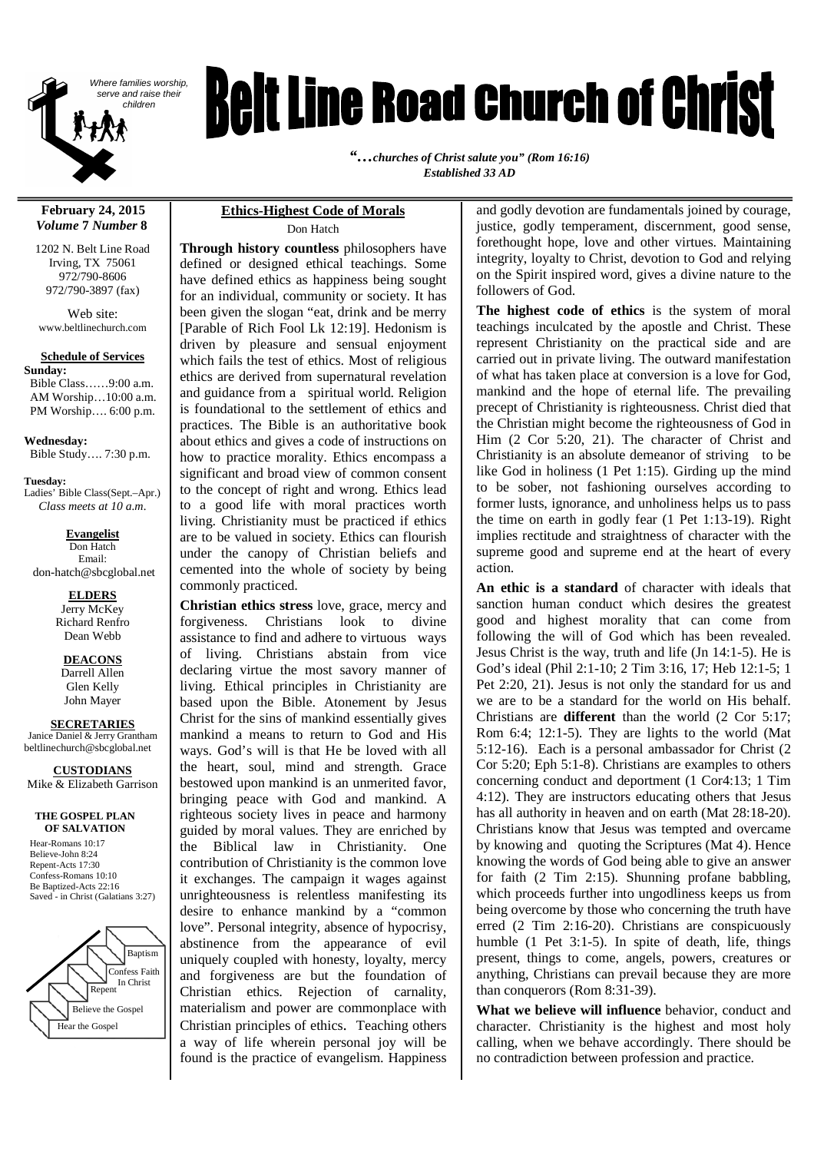

# *Belt Line Road Church of Christ*

*"…churches of Christ salute you" (Rom 16:16) Established 33 AD*

#### **February 24, 2015** *Volume* **7** *Number* **8**

1202 N. Belt Line Road Irving, TX 75061 972/790-8606 972/790-3897 (fax)

Web site: www.beltlinechurch.com

#### **Schedule of Services**

**Sunday:** Bible Class……9:00 a.m. AM Worship…10:00 a.m. PM Worship…. 6:00 p.m.

**Wednesday:** Bible Study…. 7:30 p.m.

**Tuesday:** Ladies' Bible Class(Sept.–Apr.) *Class meets at 10 a.m.*

**Evangelist** Don Hatch Email: don-hatch@sbcglobal.net

> **ELDERS** Jerry McKey Richard Renfro Dean Webb

> > **DEACONS** Darrell Allen

Glen Kelly John Mayer

**SECRETARIES** Janice Daniel & Jerry Grantham

beltlinechurch@sbcglobal.net

**CUSTODIANS** Mike & Elizabeth Garrison

#### **THE GOSPEL PLAN OF SALVATION**

Hear-Romans 10:17 Believe-John 8:24 Repent-Acts 17:30 Confess-Romans 10:10 Be Baptized-Acts 22:16 Saved - in Christ (Galatians 3:27)



#### **Ethics-Highest Code of Morals** Don Hatch

**Through history countless** philosophers have defined or designed ethical teachings. Some have defined ethics as happiness being sought for an individual, community or society. It has been given the slogan "eat, drink and be merry [Parable of Rich Fool Lk 12:19]. Hedonism is driven by pleasure and sensual enjoyment which fails the test of ethics. Most of religious ethics are derived from supernatural revelation and guidance from a spiritual world. Religion is foundational to the settlement of ethics and practices. The Bible is an authoritative book about ethics and gives a code of instructions on how to practice morality. Ethics encompass a significant and broad view of common consent to the concept of right and wrong. Ethics lead to a good life with moral practices worth living. Christianity must be practiced if ethics are to be valued in society. Ethics can flourish under the canopy of Christian beliefs and cemented into the whole of society by being commonly practiced.

**Christian ethics stress** love, grace, mercy and forgiveness. Christians look to divine assistance to find and adhere to virtuous ways of living. Christians abstain from vice declaring virtue the most savory manner of living. Ethical principles in Christianity are based upon the Bible. Atonement by Jesus Christ for the sins of mankind essentially gives mankind a means to return to God and His ways. God's will is that He be loved with all the heart, soul, mind and strength. Grace bestowed upon mankind is an unmerited favor, bringing peace with God and mankind. A righteous society lives in peace and harmony guided by moral values. They are enriched by the Biblical law in Christianity. One contribution of Christianity is the common love it exchanges. The campaign it wages against unrighteousness is relentless manifesting its desire to enhance mankind by a "common love". Personal integrity, absence of hypocrisy, abstinence from the appearance of evil uniquely coupled with honesty, loyalty, mercy and forgiveness are but the foundation of Christian ethics. Rejection of carnality, materialism and power are commonplace with Christian principles of ethics. Teaching others a way of life wherein personal joy will be found is the practice of evangelism. Happiness

and godly devotion are fundamentals joined by courage, justice, godly temperament, discernment, good sense, forethought hope, love and other virtues. Maintaining integrity, loyalty to Christ, devotion to God and relying on the Spirit inspired word, gives a divine nature to the followers of God.

**The highest code of ethics** is the system of moral teachings inculcated by the apostle and Christ. These represent Christianity on the practical side and are carried out in private living. The outward manifestation of what has taken place at conversion is a love for God, mankind and the hope of eternal life. The prevailing precept of Christianity is righteousness. Christ died that the Christian might become the righteousness of God in Him (2 Cor 5:20, 21). The character of Christ and Christianity is an absolute demeanor of striving to be like God in holiness (1 Pet 1:15). Girding up the mind to be sober, not fashioning ourselves according to former lusts, ignorance, and unholiness helps us to pass the time on earth in godly fear (1 Pet 1:13-19). Right implies rectitude and straightness of character with the supreme good and supreme end at the heart of every action.

**An ethic is a standard** of character with ideals that sanction human conduct which desires the greatest good and highest morality that can come from following the will of God which has been revealed. Jesus Christ is the way, truth and life (Jn 14:1-5). He is God's ideal (Phil 2:1-10; 2 Tim 3:16, 17; Heb 12:1-5; 1 Pet 2:20, 21). Jesus is not only the standard for us and we are to be a standard for the world on His behalf. Christians are **different** than the world (2 Cor 5:17; Rom 6:4; 12:1-5). They are lights to the world (Mat 5:12-16). Each is a personal ambassador for Christ (2 Cor 5:20; Eph 5:1-8). Christians are examples to others concerning conduct and deportment (1 Cor4:13; 1 Tim 4:12). They are instructors educating others that Jesus has all authority in heaven and on earth (Mat 28:18-20). Christians know that Jesus was tempted and overcame by knowing and quoting the Scriptures (Mat 4). Hence knowing the words of God being able to give an answer for faith (2 Tim 2:15). Shunning profane babbling, which proceeds further into ungodliness keeps us from being overcome by those who concerning the truth have erred (2 Tim 2:16-20). Christians are conspicuously humble (1 Pet 3:1-5). In spite of death, life, things present, things to come, angels, powers, creatures or anything, Christians can prevail because they are more than conquerors (Rom 8:31-39).

**What we believe will influence** behavior, conduct and character. Christianity is the highest and most holy calling, when we behave accordingly. There should be no contradiction between profession and practice.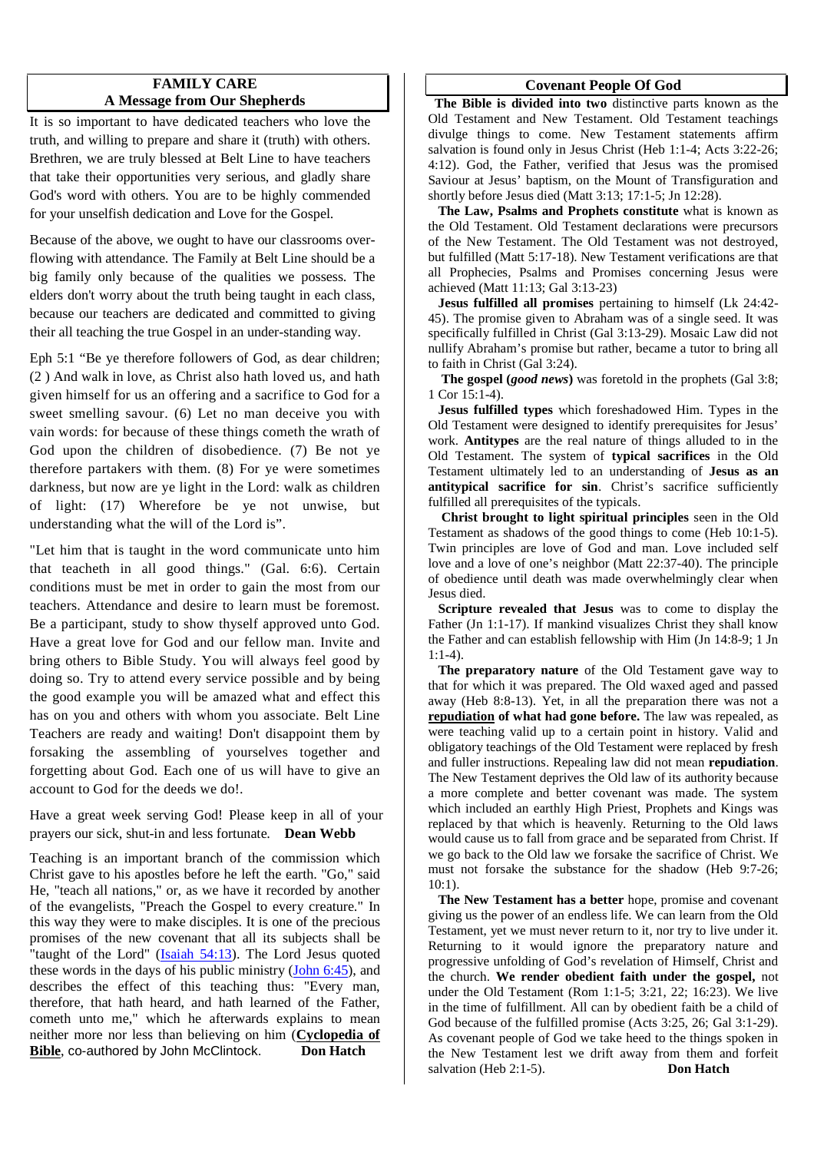## **FAMILY CARE A Message from Our Shepherds**

It is so important to have dedicated teachers who love the truth, and willing to prepare and share it (truth) with others. Brethren, we are truly blessed at Belt Line to have teachers that take their opportunities very serious, and gladly share God's word with others. You are to be highly commended for your unselfish dedication and Love for the Gospel.

Because of the above, we ought to have our classrooms overflowing with attendance. The Family at Belt Line should be a big family only because of the qualities we possess. The elders don't worry about the truth being taught in each class, because our teachers are dedicated and committed to giving their all teaching the true Gospel in an under-standing way.

Eph 5:1 "Be ye therefore followers of God, as dear children; (2 ) And walk in love, as Christ also hath loved us, and hath given himself for us an offering and a sacrifice to God for a sweet smelling savour. (6) Let no man deceive you with vain words: for because of these things cometh the wrath of God upon the children of disobedience. (7) Be not ye therefore partakers with them. (8) For ye were sometimes darkness, but now are ye light in the Lord: walk as children of light: (17) Wherefore be ye not unwise, but understanding what the will of the Lord is".

"Let him that is taught in the word communicate unto him that teacheth in all good things." (Gal. 6:6). Certain conditions must be met in order to gain the most from our teachers. Attendance and desire to learn must be foremost. Be a participant, study to show thyself approved unto God. Have a great love for God and our fellow man. Invite and bring others to Bible Study. You will always feel good by doing so. Try to attend every service possible and by being the good example you will be amazed what and effect this has on you and others with whom you associate. Belt Line Teachers are ready and waiting! Don't disappoint them by forsaking the assembling of yourselves together and forgetting about God. Each one of us will have to give an account to God for the deeds we do!.

Have a great week serving God! Please keep in all of your prayers our sick, shut-in and less fortunate. **Dean Webb**

Teaching is an important branch of the commission which Christ gave to his apostles before he left the earth. "Go," said He, "teach all nations," or, as we have it recorded by another of the evangelists, "Preach the Gospel to every creature." In this way they were to make disciples. It is one of the precious promises of the new covenant that all its subjects shall be "taught of the Lord" (*Isaiah 54:13*). The Lord Jesus quoted these words in the days of his public ministry (John 6:45), and describes the effect of this teaching thus: "Every man, therefore, that hath heard, and hath learned of the Father, cometh unto me," which he afterwards explains to mean neither more nor less than believing on him (**Cyclopedia of Bible**, co-authored by John McClintock. Don Hatch

#### **Covenant People Of God**

**The Bible is divided into two** distinctive parts known as the Old Testament and New Testament. Old Testament teachings divulge things to come. New Testament statements affirm salvation is found only in Jesus Christ (Heb 1:1-4; Acts 3:22-26; 4:12). God, the Father, verified that Jesus was the promised Saviour at Jesus' baptism, on the Mount of Transfiguration and shortly before Jesus died (Matt 3:13; 17:1-5; Jn 12:28).

**The Law, Psalms and Prophets constitute** what is known as the Old Testament. Old Testament declarations were precursors of the New Testament. The Old Testament was not destroyed, but fulfilled (Matt 5:17-18). New Testament verifications are that all Prophecies, Psalms and Promises concerning Jesus were achieved (Matt 11:13; Gal 3:13-23)

**Jesus fulfilled all promises** pertaining to himself (Lk 24:42- 45). The promise given to Abraham was of a single seed. It was specifically fulfilled in Christ (Gal 3:13-29). Mosaic Law did not nullify Abraham's promise but rather, became a tutor to bring all to faith in Christ (Gal 3:24).

**The gospel (***good news***)** was foretold in the prophets (Gal 3:8; 1 Cor 15:1-4).

**Jesus fulfilled types** which foreshadowed Him. Types in the Old Testament were designed to identify prerequisites for Jesus' work. **Antitypes** are the real nature of things alluded to in the Old Testament. The system of **typical sacrifices** in the Old Testament ultimately led to an understanding of **Jesus as an antitypical sacrifice for sin**. Christ's sacrifice sufficiently fulfilled all prerequisites of the typicals.

**Christ brought to light spiritual principles** seen in the Old Testament as shadows of the good things to come (Heb 10:1-5). Twin principles are love of God and man. Love included self love and a love of one's neighbor (Matt 22:37-40). The principle of obedience until death was made overwhelmingly clear when Jesus died.

**Scripture revealed that Jesus** was to come to display the Father (Jn 1:1-17). If mankind visualizes Christ they shall know the Father and can establish fellowship with Him (Jn 14:8-9; 1 Jn 1:1-4).

**The preparatory nature** of the Old Testament gave way to that for which it was prepared. The Old waxed aged and passed away (Heb 8:8-13). Yet, in all the preparation there was not a **repudiation of what had gone before.** The law was repealed, as were teaching valid up to a certain point in history. Valid and obligatory teachings of the Old Testament were replaced by fresh and fuller instructions. Repealing law did not mean **repudiation**. The New Testament deprives the Old law of its authority because a more complete and better covenant was made. The system which included an earthly High Priest, Prophets and Kings was replaced by that which is heavenly. Returning to the Old laws would cause us to fall from grace and be separated from Christ. If we go back to the Old law we forsake the sacrifice of Christ. We must not forsake the substance for the shadow (Heb 9:7-26;  $10(1)$ .

**The New Testament has a better** hope, promise and covenant giving us the power of an endless life. We can learn from the Old Testament, yet we must never return to it, nor try to live under it. Returning to it would ignore the preparatory nature and progressive unfolding of God's revelation of Himself, Christ and the church. **We render obedient faith under the gospel,** not under the Old Testament (Rom 1:1-5; 3:21, 22; 16:23). We live in the time of fulfillment. All can by obedient faith be a child of God because of the fulfilled promise (Acts 3:25, 26; Gal 3:1-29). As covenant people of God we take heed to the things spoken in the New Testament lest we drift away from them and forfeit salvation (Heb 2:1-5). **Don Hatch**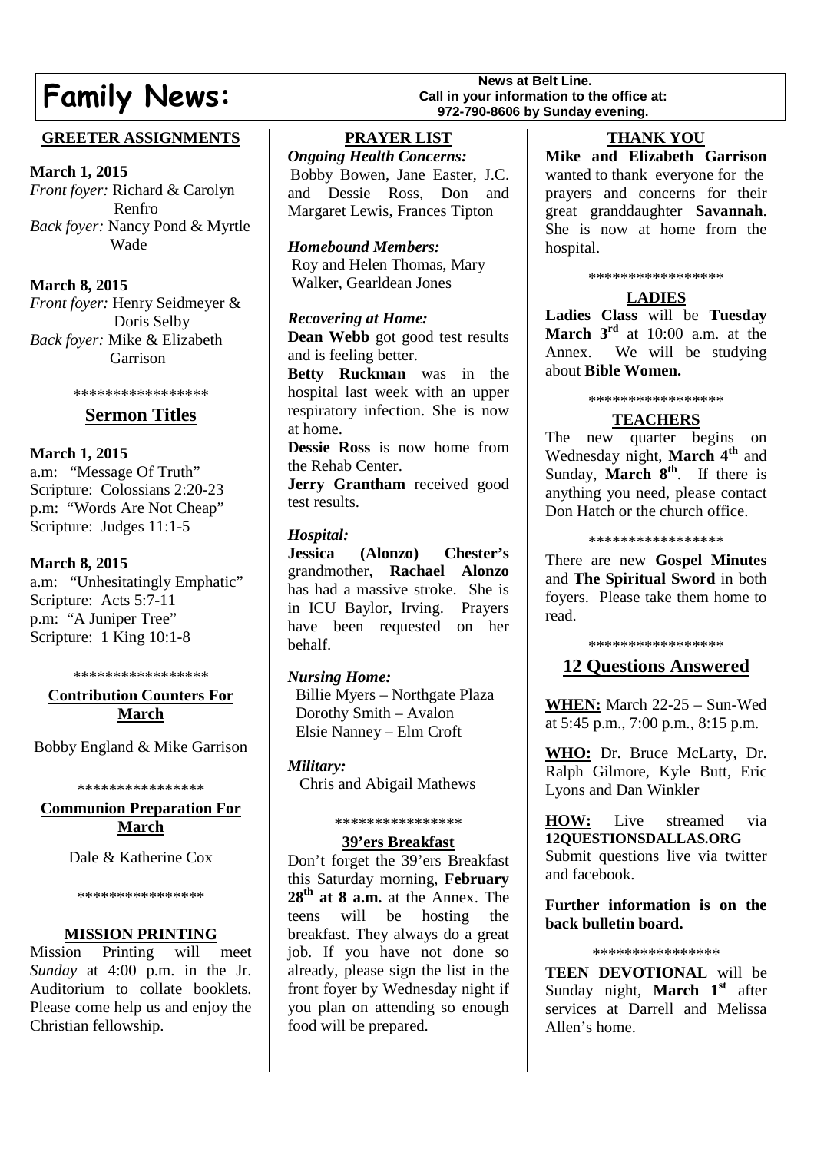# **Family News:** Call in your information to the **Family News Call is your information to the SAMILY**

# **GREETER ASSIGNMENTS**

**March 1, 2015**

*Front foyer:* Richard & Carolyn Renfro *Back foyer:* Nancy Pond & Myrtle Wade

# **March 8, 2015**

*Front foyer:* Henry Seidmeyer & Doris Selby *Back foyer:* Mike & Elizabeth Garrison

\*\*\*\*\*\*\*\*\*\*\*\*\*\*\*\*\*

# **Sermon Titles**

## **March 1, 2015**

a.m: "Message Of Truth" Scripture: Colossians 2:20-23 p.m: "Words Are Not Cheap" Scripture: Judges 11:1-5

# **March 8, 2015**

a.m: "Unhesitatingly Emphatic" Scripture: Acts 5:7-11 p.m: "A Juniper Tree" Scripture: 1 King 10:1-8

\*\*\*\*\*\*\*\*\*\*\*\*\*\*\*\*\*

## **Contribution Counters For March**

Bobby England & Mike Garrison

\*\*\*\*\*\*\*\*\*\*\*\*\*\*\*\*

## **Communion Preparation For March**

Dale & Katherine Cox

\*\*\*\*\*\*\*\*\*\*\*\*\*\*\*\*

#### **MISSION PRINTING**

Mission Printing will meet *Sunday* at 4:00 p.m. in the Jr. Auditorium to collate booklets. Please come help us and enjoy the Christian fellowship.

**PRAYER LIST**

*Ongoing Health Concerns:* Bobby Bowen, Jane Easter, J.C. and Dessie Ross, Don and Margaret Lewis, Frances Tipton

*Homebound Members:* Roy and Helen Thomas, Mary Walker, Gearldean Jones

## *Recovering at Home:*

**Dean Webb** got good test results and is feeling better.

**Betty Ruckman** was in the hospital last week with an upper respiratory infection. She is now at home.

**Dessie Ross** is now home from the Rehab Center.

**Jerry Grantham** received good test results.

## *Hospital:*

**Jessica (Alonzo) Chester's** grandmother, **Rachael Alonzo** has had a massive stroke. She is in ICU Baylor, Irving. Prayers have been requested on her behalf.

# *Nursing Home:*

Billie Myers – Northgate Plaza Dorothy Smith – Avalon Elsie Nanney – Elm Croft

*Military:* Chris and Abigail Mathews

#### \*\*\*\*\*\*\*\*\*\*\*\*\*\*\*\*

#### **39'ers Breakfast**

Don't forget the 39'ers Breakfast this Saturday morning, **February 28th at 8 a.m.** at the Annex. The teens will be hosting the breakfast. They always do a great job. If you have not done so already, please sign the list in the front foyer by Wednesday night if you plan on attending so enough food will be prepared.

# **THANK YOU**

**Mike and Elizabeth Garrison** wanted to thank everyone for the prayers and concerns for their great granddaughter **Savannah**. She is now at home from the hospital.

#### \*\*\*\*\*\*\*\*\*\*\*\*\*\*\*\*\*

# **LADIES**

**Ladies Class** will be **Tuesday March 3rd** at 10:00 a.m. at the Annex. We will be studying about **Bible Women.**

#### \*\*\*\*\*\*\*\*\*\*\*\*\*\*\*\*\*

# **TEACHERS**

The new quarter begins on Wednesday night, **March 4th** and Sunday, **March 8<sup>th</sup>**. If there is anything you need, please contact Don Hatch or the church office.

\*\*\*\*\*\*\*\*\*\*\*\*\*\*\*\*\*

There are new **Gospel Minutes** and **The Spiritual Sword** in both foyers. Please take them home to read.

#### \*\*\*\*\*\*\*\*\*\*\*\*\*\*\*\*\*

# **12 Questions Answered**

**WHEN:** March 22-25 – Sun-Wed at  $5:45$  p.m.,  $7:00$  p.m.,  $8:15$  p.m.

**WHO:** Dr. Bruce McLarty, Dr. Ralph Gilmore, Kyle Butt, Eric Lyons and Dan Winkler

**HOW:** Live streamed via **12QUESTIONSDALLAS.ORG** Submit questions live via twitter and facebook.

**Further information is on the back bulletin board.**

\*\*\*\*\*\*\*\*\*\*\*\*\*\*\*\*

**TEEN DEVOTIONAL** will be Sunday night, **March 1st** after services at Darrell and Melissa Allen's home.

# **Call in your information to the office at: 972-790-8606 by Sunday evening.**